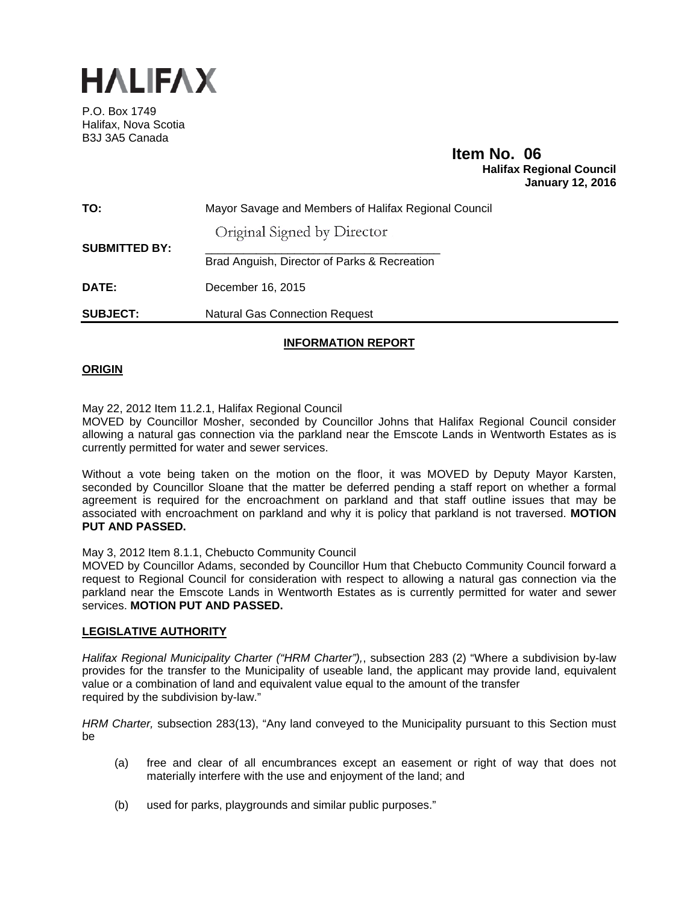

P.O. Box 1749 Halifax, Nova Scotia B3J 3A5 Canada

# **Item No. 06**<br>Halifax Regional Council  **January 12, 2016**

| TO:                  | Mayor Savage and Members of Halifax Regional Council |
|----------------------|------------------------------------------------------|
|                      | Original Signed by Director                          |
| <b>SUBMITTED BY:</b> | Brad Anguish, Director of Parks & Recreation         |
| <b>DATE:</b>         | December 16, 2015                                    |
| <b>SUBJECT:</b>      | <b>Natural Gas Connection Request</b>                |

# **INFORMATION REPORT**

### **ORIGIN**

May 22, 2012 Item 11.2.1, Halifax Regional Council

MOVED by Councillor Mosher, seconded by Councillor Johns that Halifax Regional Council consider allowing a natural gas connection via the parkland near the Emscote Lands in Wentworth Estates as is currently permitted for water and sewer services.

Without a vote being taken on the motion on the floor, it was MOVED by Deputy Mayor Karsten, seconded by Councillor Sloane that the matter be deferred pending a staff report on whether a formal agreement is required for the encroachment on parkland and that staff outline issues that may be associated with encroachment on parkland and why it is policy that parkland is not traversed. **MOTION PUT AND PASSED.** 

May 3, 2012 Item 8.1.1, Chebucto Community Council

MOVED by Councillor Adams, seconded by Councillor Hum that Chebucto Community Council forward a request to Regional Council for consideration with respect to allowing a natural gas connection via the parkland near the Emscote Lands in Wentworth Estates as is currently permitted for water and sewer services. **MOTION PUT AND PASSED.**

#### **LEGISLATIVE AUTHORITY**

*Halifax Regional Municipality Charter ("HRM Charter"),*, subsection 283 (2) "Where a subdivision by-law provides for the transfer to the Municipality of useable land, the applicant may provide land, equivalent value or a combination of land and equivalent value equal to the amount of the transfer required by the subdivision by-law."

*HRM Charter,* subsection 283(13), "Any land conveyed to the Municipality pursuant to this Section must be

- (a) free and clear of all encumbrances except an easement or right of way that does not materially interfere with the use and enjoyment of the land; and
- (b) used for parks, playgrounds and similar public purposes."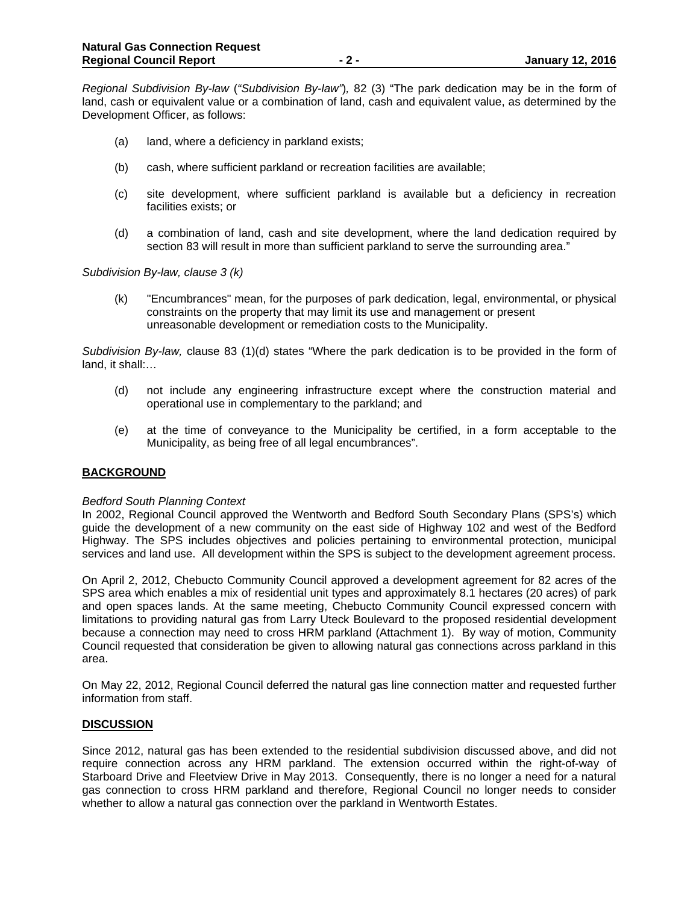*Regional Subdivision By-law* (*"Subdivision By-law"*)*,* 82 (3) "The park dedication may be in the form of land, cash or equivalent value or a combination of land, cash and equivalent value, as determined by the Development Officer, as follows:

- (a) land, where a deficiency in parkland exists;
- (b) cash, where sufficient parkland or recreation facilities are available;
- (c) site development, where sufficient parkland is available but a deficiency in recreation facilities exists; or
- (d) a combination of land, cash and site development, where the land dedication required by section 83 will result in more than sufficient parkland to serve the surrounding area."

*Subdivision By-law, clause 3 (k)* 

 (k) "Encumbrances" mean, for the purposes of park dedication, legal, environmental, or physical constraints on the property that may limit its use and management or present unreasonable development or remediation costs to the Municipality.

*Subdivision By-law,* clause 83 (1)(d) states "Where the park dedication is to be provided in the form of land, it shall:…

- (d) not include any engineering infrastructure except where the construction material and operational use in complementary to the parkland; and
- (e) at the time of conveyance to the Municipality be certified, in a form acceptable to the Municipality, as being free of all legal encumbrances".

#### **BACKGROUND**

#### *Bedford South Planning Context*

In 2002, Regional Council approved the Wentworth and Bedford South Secondary Plans (SPS's) which guide the development of a new community on the east side of Highway 102 and west of the Bedford Highway. The SPS includes objectives and policies pertaining to environmental protection, municipal services and land use. All development within the SPS is subject to the development agreement process.

On April 2, 2012, Chebucto Community Council approved a development agreement for 82 acres of the SPS area which enables a mix of residential unit types and approximately 8.1 hectares (20 acres) of park and open spaces lands. At the same meeting, Chebucto Community Council expressed concern with limitations to providing natural gas from Larry Uteck Boulevard to the proposed residential development because a connection may need to cross HRM parkland (Attachment 1). By way of motion, Community Council requested that consideration be given to allowing natural gas connections across parkland in this area.

On May 22, 2012, Regional Council deferred the natural gas line connection matter and requested further information from staff.

#### **DISCUSSION**

Since 2012, natural gas has been extended to the residential subdivision discussed above, and did not require connection across any HRM parkland. The extension occurred within the right-of-way of Starboard Drive and Fleetview Drive in May 2013. Consequently, there is no longer a need for a natural gas connection to cross HRM parkland and therefore, Regional Council no longer needs to consider whether to allow a natural gas connection over the parkland in Wentworth Estates.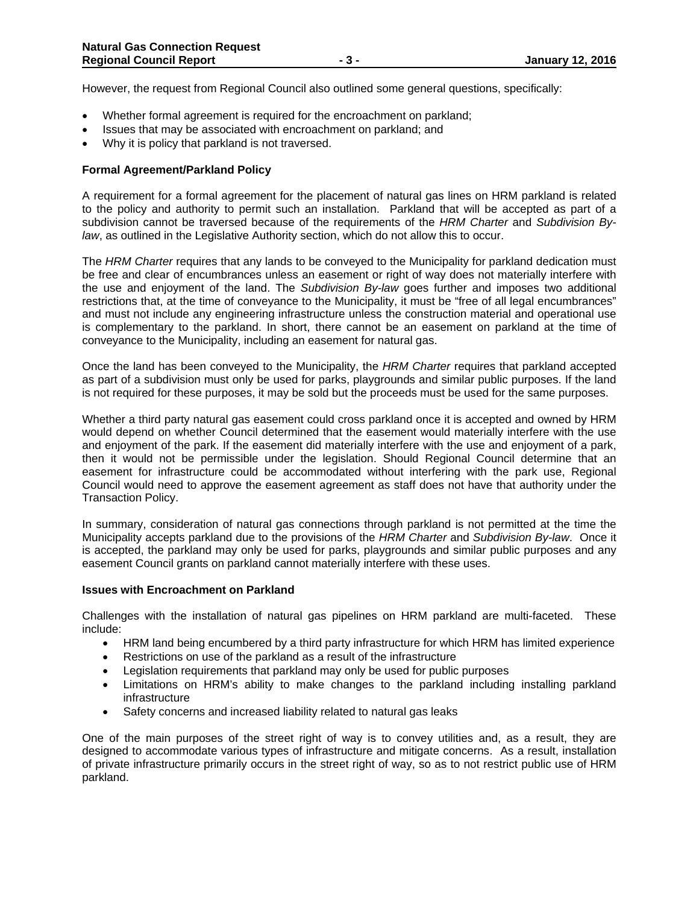However, the request from Regional Council also outlined some general questions, specifically:

- Whether formal agreement is required for the encroachment on parkland;
- Issues that may be associated with encroachment on parkland; and
- Why it is policy that parkland is not traversed.

#### **Formal Agreement/Parkland Policy**

A requirement for a formal agreement for the placement of natural gas lines on HRM parkland is related to the policy and authority to permit such an installation. Parkland that will be accepted as part of a subdivision cannot be traversed because of the requirements of the *HRM Charter* and *Subdivision Bylaw*, as outlined in the Legislative Authority section, which do not allow this to occur.

The *HRM Charter* requires that any lands to be conveyed to the Municipality for parkland dedication must be free and clear of encumbrances unless an easement or right of way does not materially interfere with the use and enjoyment of the land. The *Subdivision By-law* goes further and imposes two additional restrictions that, at the time of conveyance to the Municipality, it must be "free of all legal encumbrances" and must not include any engineering infrastructure unless the construction material and operational use is complementary to the parkland. In short, there cannot be an easement on parkland at the time of conveyance to the Municipality, including an easement for natural gas.

Once the land has been conveyed to the Municipality, the *HRM Charter* requires that parkland accepted as part of a subdivision must only be used for parks, playgrounds and similar public purposes. If the land is not required for these purposes, it may be sold but the proceeds must be used for the same purposes.

Whether a third party natural gas easement could cross parkland once it is accepted and owned by HRM would depend on whether Council determined that the easement would materially interfere with the use and enjoyment of the park. If the easement did materially interfere with the use and enjoyment of a park, then it would not be permissible under the legislation. Should Regional Council determine that an easement for infrastructure could be accommodated without interfering with the park use, Regional Council would need to approve the easement agreement as staff does not have that authority under the Transaction Policy.

In summary, consideration of natural gas connections through parkland is not permitted at the time the Municipality accepts parkland due to the provisions of the *HRM Charter* and *Subdivision By-law*. Once it is accepted, the parkland may only be used for parks, playgrounds and similar public purposes and any easement Council grants on parkland cannot materially interfere with these uses.

#### **Issues with Encroachment on Parkland**

Challenges with the installation of natural gas pipelines on HRM parkland are multi-faceted. These include:

- HRM land being encumbered by a third party infrastructure for which HRM has limited experience
- Restrictions on use of the parkland as a result of the infrastructure
- Legislation requirements that parkland may only be used for public purposes
- Limitations on HRM's ability to make changes to the parkland including installing parkland infrastructure
- Safety concerns and increased liability related to natural gas leaks

One of the main purposes of the street right of way is to convey utilities and, as a result, they are designed to accommodate various types of infrastructure and mitigate concerns. As a result, installation of private infrastructure primarily occurs in the street right of way, so as to not restrict public use of HRM parkland.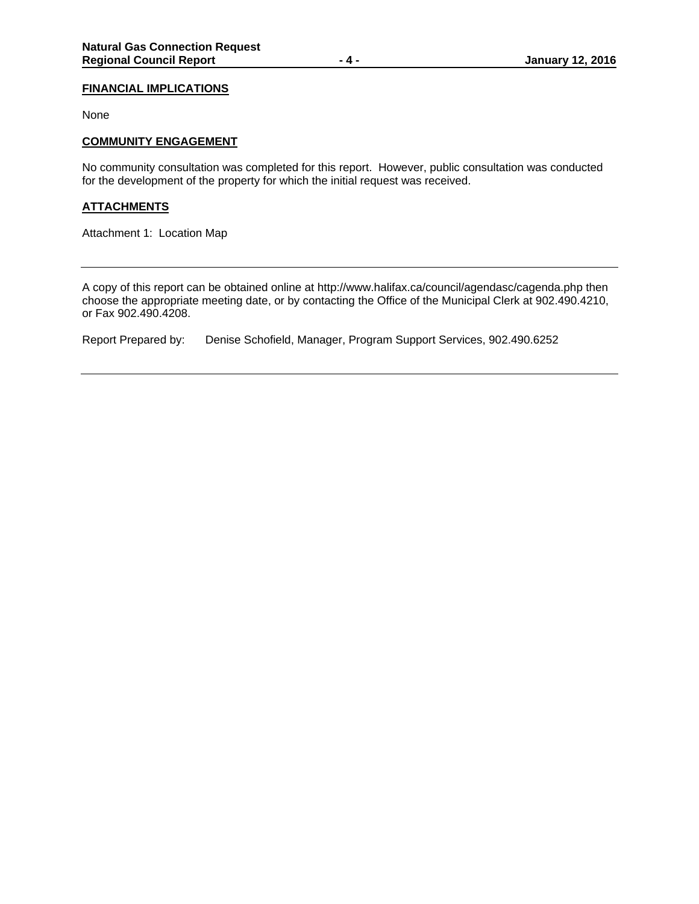#### **FINANCIAL IMPLICATIONS**

None

#### **COMMUNITY ENGAGEMENT**

No community consultation was completed for this report. However, public consultation was conducted for the development of the property for which the initial request was received.

## **ATTACHMENTS**

Attachment 1: Location Map

A copy of this report can be obtained online at http://www.halifax.ca/council/agendasc/cagenda.php then choose the appropriate meeting date, or by contacting the Office of the Municipal Clerk at 902.490.4210, or Fax 902.490.4208.

Report Prepared by: Denise Schofield, Manager, Program Support Services, 902.490.6252